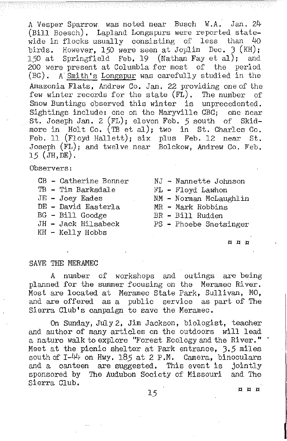A Vesper Sparrow was noted neat Busch W.A. Jan. 24 (Bill Boesch), Lapland Longspurs were reported statewide in flocks usually consisting of less than 4o birds. However, 150 were seen at Joplin Dec. 3  $(KH)$ ;<br>150 at Springfield Feb. 19 (Nathan Fay et al); and  $5$ pringfield Feb. 19 (Nathan Fay et al); and 200 were present at Columbia for most of the period (BG). A Smith's Longspur was carefully studied in the Amazonia Flats, Andrew Co. Jan. 22 providing one of the few winter records for the state  $(F\tilde{L})$ . The number of Snow Buntings observed this winter is unprecedented. Sightings include: one on the Maryville CBC; one near St. Joseph Jan. 2 (FL); eleven Feb. 5 south of Skidmore in Holt Co. (TB et al); two in St. Charles Co, Feb, ll (Floyd Hallett); six plus Feb. 12 near St. Joseph (FL); and twelve near Bolckow, Andrew Co, Feb. 15 (JH,DE).

Observers:

- CB Catherine Bonner MJ Nannette Johnson<br>TB Tim Barksdale HL Floyd Lawhon
- TB Tim Barksdale<br>JE Joey Eades
- 
- DE David Easterla MR Mark Robbins
- 
- BG Bill Goodge<br>JH Jack Hilsabeck
- KH Kelly Hobbs
- 
- 
- NM Norman McLaughlin<br>MR Mark Robbins
- 
- 
- PS Phoebe Snetsinger

## a a g

SAVE THE MERAMEC

A number of workshops and outings are being planned for the summer focusing on the Meramec River. Most are located at Meramec State Park, Sullivan, MO, and are offered as a public service as part of The Sierra Club's campaign to save the Meramec.

On Sunday, July 2, Jim Jackson, biologist, teacher and author of many articles on the outdoors will lead a nature walk to explore "Forest Ecology and the River." Meet at the picnic shelter at Park entrance, J.5 miles south of  $I-44$  on Hwy. 185 at 2 P.M. Camera, binoculars and a canteen are suggested. This event is jointly sponsored by The Audubon Society of Missouri and The Sierra Club.

 $15$  leads to the set of the set of the set of the set of the set of the set of the set of the set of the set of the set of the set of the set of the set of the set of the set of the set of the set of the set of the set o